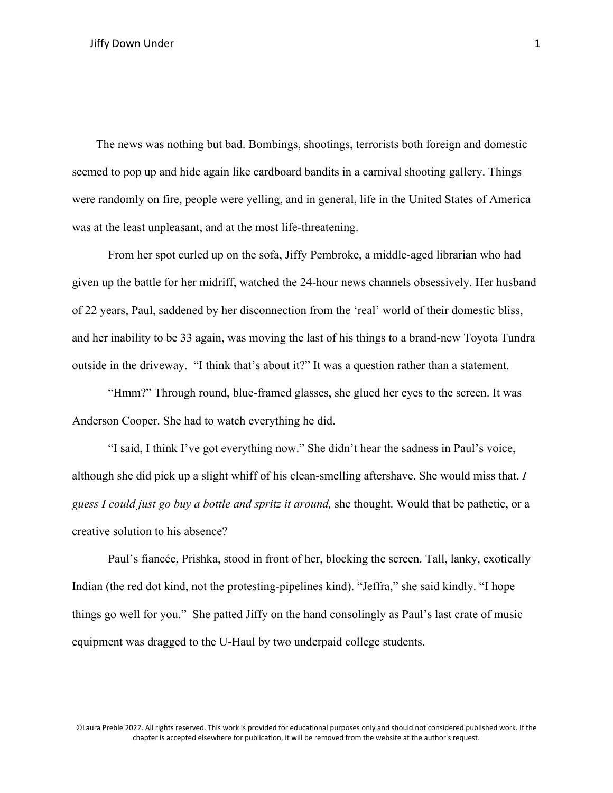The news was nothing but bad. Bombings, shootings, terrorists both foreign and domestic seemed to pop up and hide again like cardboard bandits in a carnival shooting gallery. Things were randomly on fire, people were yelling, and in general, life in the United States of America was at the least unpleasant, and at the most life-threatening.

From her spot curled up on the sofa, Jiffy Pembroke, a middle-aged librarian who had given up the battle for her midriff, watched the 24-hour news channels obsessively. Her husband of 22 years, Paul, saddened by her disconnection from the 'real' world of their domestic bliss, and her inability to be 33 again, was moving the last of his things to a brand-new Toyota Tundra outside in the driveway. "I think that's about it?" It was a question rather than a statement.

"Hmm?" Through round, blue-framed glasses, she glued her eyes to the screen. It was Anderson Cooper. She had to watch everything he did.

"I said, I think I've got everything now." She didn't hear the sadness in Paul's voice, although she did pick up a slight whiff of his clean-smelling aftershave. She would miss that. *I guess I could just go buy a bottle and spritz it around,* she thought. Would that be pathetic, or a creative solution to his absence?

Paul's fiancée, Prishka, stood in front of her, blocking the screen. Tall, lanky, exotically Indian (the red dot kind, not the protesting-pipelines kind). "Jeffra," she said kindly. "I hope things go well for you." She patted Jiffy on the hand consolingly as Paul's last crate of music equipment was dragged to the U-Haul by two underpaid college students.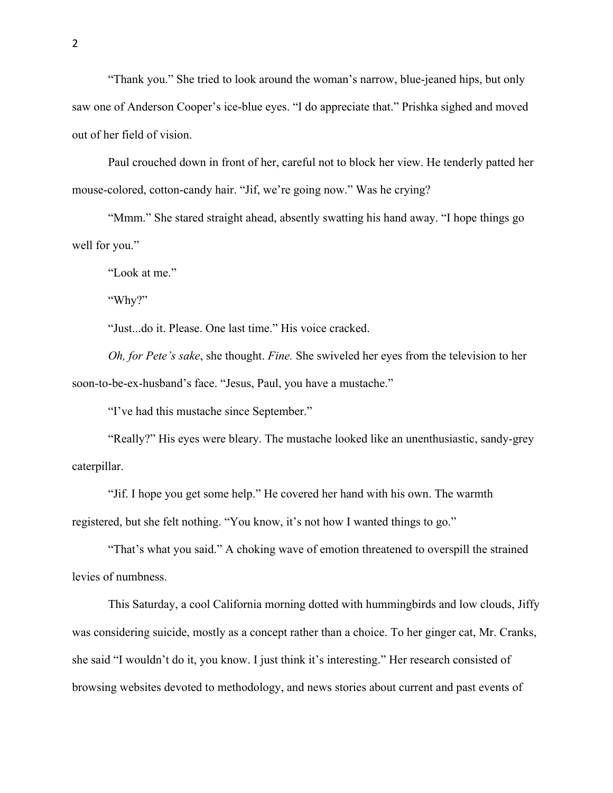"Thank you." She tried to look around the woman's narrow, blue-jeaned hips, but only saw one of Anderson Cooper's ice-blue eyes. "I do appreciate that." Prishka sighed and moved out of her field of vision.

Paul crouched down in front of her, careful not to block her view. He tenderly patted her mouse-colored, cotton-candy hair. "Jif, we're going now." Was he crying?

"Mmm." She stared straight ahead, absently swatting his hand away. "I hope things go well for you."

"Look at me."

"Why?"

"Just...do it. Please. One last time." His voice cracked.

*Oh, for Pete's sake*, she thought. *Fine.* She swiveled her eyes from the television to her soon-to-be-ex-husband's face. "Jesus, Paul, you have a mustache."

"I've had this mustache since September."

"Really?" His eyes were bleary. The mustache looked like an unenthusiastic, sandy-grey caterpillar.

"Jif. I hope you get some help." He covered her hand with his own. The warmth registered, but she felt nothing. "You know, it's not how I wanted things to go."

"That's what you said." A choking wave of emotion threatened to overspill the strained levies of numbness.

This Saturday, a cool California morning dotted with hummingbirds and low clouds, Jiffy was considering suicide, mostly as a concept rather than a choice. To her ginger cat, Mr. Cranks, she said "I wouldn't do it, you know. I just think it's interesting." Her research consisted of browsing websites devoted to methodology, and news stories about current and past events of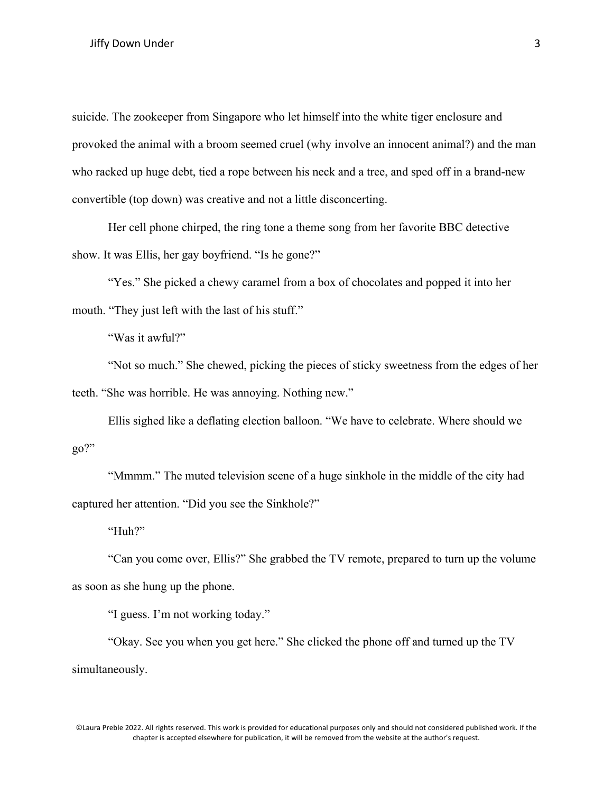suicide. The zookeeper from Singapore who let himself into the white tiger enclosure and provoked the animal with a broom seemed cruel (why involve an innocent animal?) and the man who racked up huge debt, tied a rope between his neck and a tree, and sped off in a brand-new convertible (top down) was creative and not a little disconcerting.

Her cell phone chirped, the ring tone a theme song from her favorite BBC detective show. It was Ellis, her gay boyfriend. "Is he gone?"

"Yes." She picked a chewy caramel from a box of chocolates and popped it into her mouth. "They just left with the last of his stuff."

"Was it awful?"

"Not so much." She chewed, picking the pieces of sticky sweetness from the edges of her teeth. "She was horrible. He was annoying. Nothing new."

Ellis sighed like a deflating election balloon. "We have to celebrate. Where should we go?"

"Mmmm." The muted television scene of a huge sinkhole in the middle of the city had captured her attention. "Did you see the Sinkhole?"

"Huh?"

"Can you come over, Ellis?" She grabbed the TV remote, prepared to turn up the volume as soon as she hung up the phone.

"I guess. I'm not working today."

"Okay. See you when you get here." She clicked the phone off and turned up the TV simultaneously.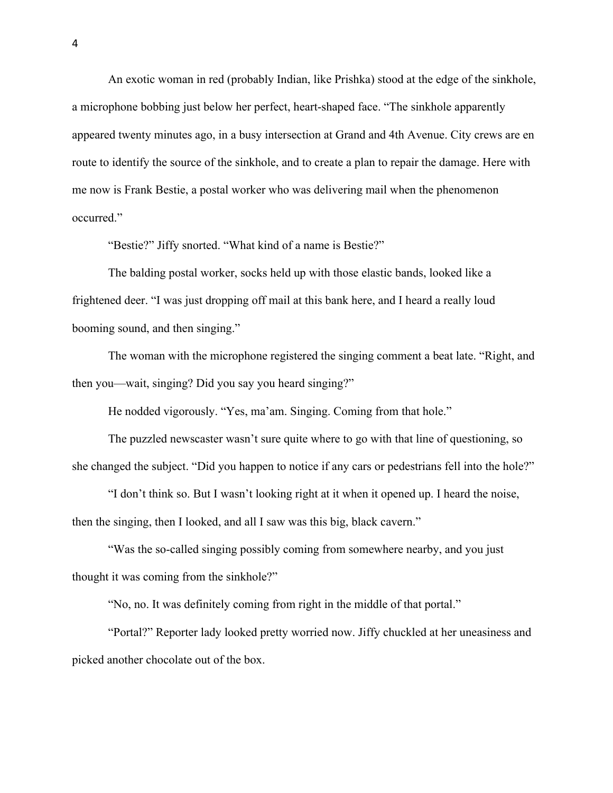An exotic woman in red (probably Indian, like Prishka) stood at the edge of the sinkhole, a microphone bobbing just below her perfect, heart-shaped face. "The sinkhole apparently appeared twenty minutes ago, in a busy intersection at Grand and 4th Avenue. City crews are en route to identify the source of the sinkhole, and to create a plan to repair the damage. Here with me now is Frank Bestie, a postal worker who was delivering mail when the phenomenon occurred."

"Bestie?" Jiffy snorted. "What kind of a name is Bestie?"

The balding postal worker, socks held up with those elastic bands, looked like a frightened deer. "I was just dropping off mail at this bank here, and I heard a really loud booming sound, and then singing."

The woman with the microphone registered the singing comment a beat late. "Right, and then you—wait, singing? Did you say you heard singing?"

He nodded vigorously. "Yes, ma'am. Singing. Coming from that hole."

The puzzled newscaster wasn't sure quite where to go with that line of questioning, so she changed the subject. "Did you happen to notice if any cars or pedestrians fell into the hole?"

"I don't think so. But I wasn't looking right at it when it opened up. I heard the noise, then the singing, then I looked, and all I saw was this big, black cavern."

"Was the so-called singing possibly coming from somewhere nearby, and you just thought it was coming from the sinkhole?"

"No, no. It was definitely coming from right in the middle of that portal."

"Portal?" Reporter lady looked pretty worried now. Jiffy chuckled at her uneasiness and picked another chocolate out of the box.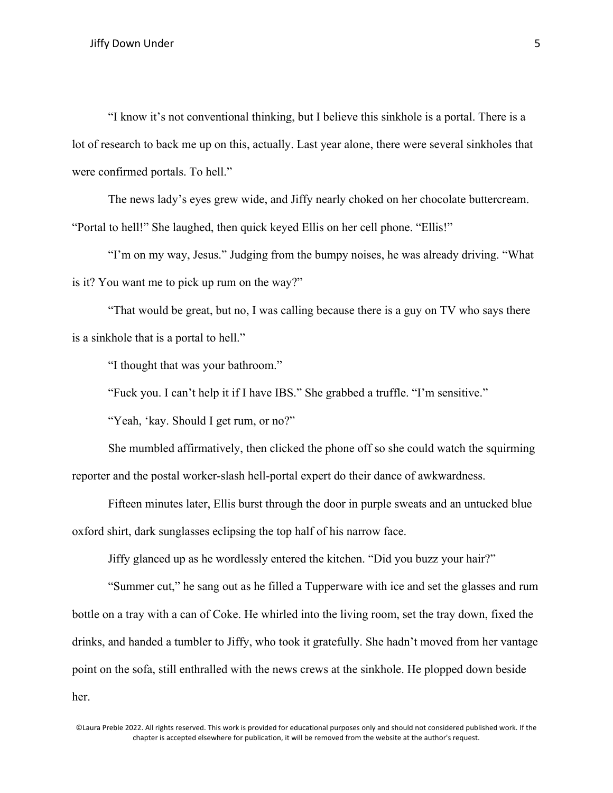"I know it's not conventional thinking, but I believe this sinkhole is a portal. There is a lot of research to back me up on this, actually. Last year alone, there were several sinkholes that were confirmed portals. To hell."

The news lady's eyes grew wide, and Jiffy nearly choked on her chocolate buttercream. "Portal to hell!" She laughed, then quick keyed Ellis on her cell phone. "Ellis!"

"I'm on my way, Jesus." Judging from the bumpy noises, he was already driving. "What is it? You want me to pick up rum on the way?"

"That would be great, but no, I was calling because there is a guy on TV who says there is a sinkhole that is a portal to hell."

"I thought that was your bathroom."

"Fuck you. I can't help it if I have IBS." She grabbed a truffle. "I'm sensitive."

"Yeah, 'kay. Should I get rum, or no?"

She mumbled affirmatively, then clicked the phone off so she could watch the squirming reporter and the postal worker-slash hell-portal expert do their dance of awkwardness.

Fifteen minutes later, Ellis burst through the door in purple sweats and an untucked blue oxford shirt, dark sunglasses eclipsing the top half of his narrow face.

Jiffy glanced up as he wordlessly entered the kitchen. "Did you buzz your hair?"

"Summer cut," he sang out as he filled a Tupperware with ice and set the glasses and rum bottle on a tray with a can of Coke. He whirled into the living room, set the tray down, fixed the drinks, and handed a tumbler to Jiffy, who took it gratefully. She hadn't moved from her vantage point on the sofa, still enthralled with the news crews at the sinkhole. He plopped down beside her.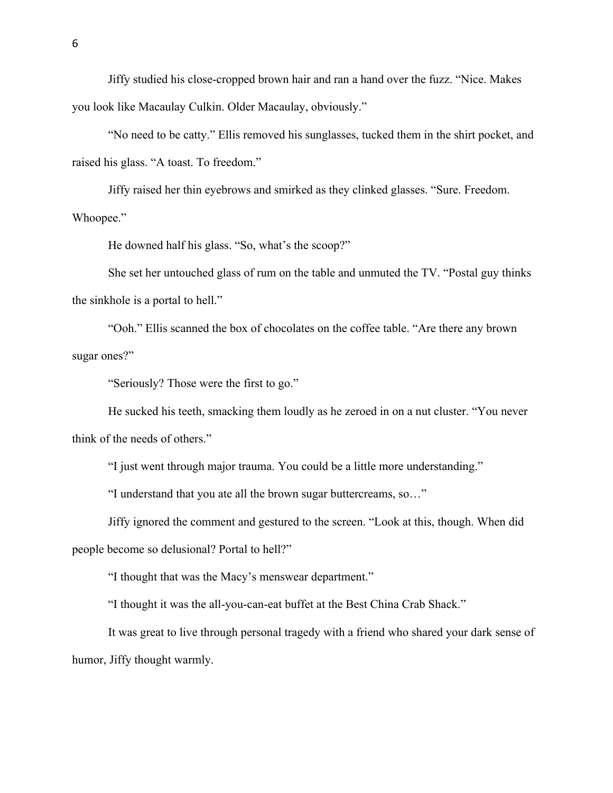Jiffy studied his close-cropped brown hair and ran a hand over the fuzz. "Nice. Makes you look like Macaulay Culkin. Older Macaulay, obviously."

"No need to be catty." Ellis removed his sunglasses, tucked them in the shirt pocket, and raised his glass. "A toast. To freedom."

Jiffy raised her thin eyebrows and smirked as they clinked glasses. "Sure. Freedom. Whoopee."

He downed half his glass. "So, what's the scoop?"

She set her untouched glass of rum on the table and unmuted the TV. "Postal guy thinks the sinkhole is a portal to hell."

"Ooh." Ellis scanned the box of chocolates on the coffee table. "Are there any brown sugar ones?"

"Seriously? Those were the first to go."

He sucked his teeth, smacking them loudly as he zeroed in on a nut cluster. "You never think of the needs of others."

"I just went through major trauma. You could be a little more understanding."

"I understand that you ate all the brown sugar buttercreams, so…"

Jiffy ignored the comment and gestured to the screen. "Look at this, though. When did

people become so delusional? Portal to hell?"

"I thought that was the Macy's menswear department."

"I thought it was the all-you-can-eat buffet at the Best China Crab Shack."

It was great to live through personal tragedy with a friend who shared your dark sense of humor, Jiffy thought warmly.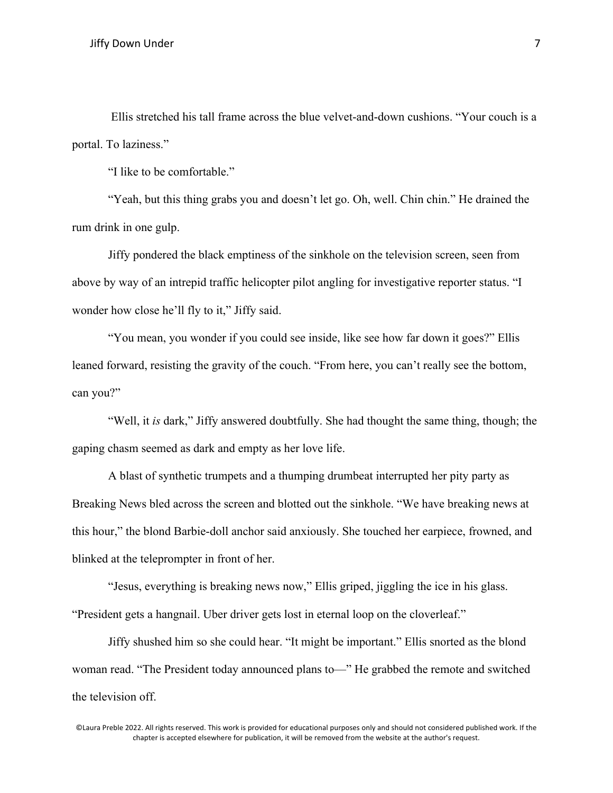Ellis stretched his tall frame across the blue velvet-and-down cushions. "Your couch is a portal. To laziness."

"I like to be comfortable."

"Yeah, but this thing grabs you and doesn't let go. Oh, well. Chin chin." He drained the rum drink in one gulp.

Jiffy pondered the black emptiness of the sinkhole on the television screen, seen from above by way of an intrepid traffic helicopter pilot angling for investigative reporter status. "I wonder how close he'll fly to it," Jiffy said.

"You mean, you wonder if you could see inside, like see how far down it goes?" Ellis leaned forward, resisting the gravity of the couch. "From here, you can't really see the bottom, can you?"

"Well, it *is* dark," Jiffy answered doubtfully. She had thought the same thing, though; the gaping chasm seemed as dark and empty as her love life.

A blast of synthetic trumpets and a thumping drumbeat interrupted her pity party as Breaking News bled across the screen and blotted out the sinkhole. "We have breaking news at this hour," the blond Barbie-doll anchor said anxiously. She touched her earpiece, frowned, and blinked at the teleprompter in front of her.

"Jesus, everything is breaking news now," Ellis griped, jiggling the ice in his glass. "President gets a hangnail. Uber driver gets lost in eternal loop on the cloverleaf."

Jiffy shushed him so she could hear. "It might be important." Ellis snorted as the blond woman read. "The President today announced plans to—" He grabbed the remote and switched the television off.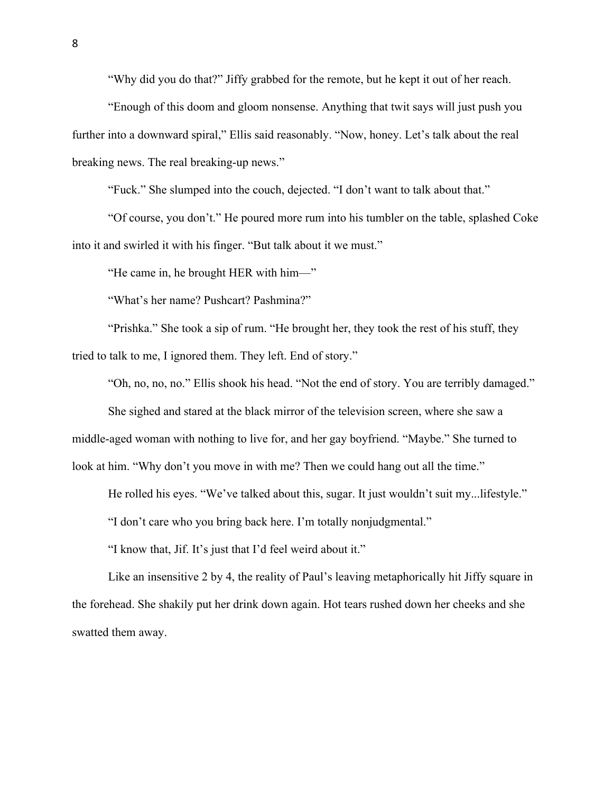"Why did you do that?" Jiffy grabbed for the remote, but he kept it out of her reach.

"Enough of this doom and gloom nonsense. Anything that twit says will just push you further into a downward spiral," Ellis said reasonably. "Now, honey. Let's talk about the real breaking news. The real breaking-up news."

"Fuck." She slumped into the couch, dejected. "I don't want to talk about that."

"Of course, you don't." He poured more rum into his tumbler on the table, splashed Coke into it and swirled it with his finger. "But talk about it we must."

"He came in, he brought HER with him—"

"What's her name? Pushcart? Pashmina?"

"Prishka." She took a sip of rum. "He brought her, they took the rest of his stuff, they tried to talk to me, I ignored them. They left. End of story."

"Oh, no, no, no." Ellis shook his head. "Not the end of story. You are terribly damaged."

She sighed and stared at the black mirror of the television screen, where she saw a middle-aged woman with nothing to live for, and her gay boyfriend. "Maybe." She turned to look at him. "Why don't you move in with me? Then we could hang out all the time."

He rolled his eyes. "We've talked about this, sugar. It just wouldn't suit my...lifestyle."

"I don't care who you bring back here. I'm totally nonjudgmental."

"I know that, Jif. It's just that I'd feel weird about it."

Like an insensitive 2 by 4, the reality of Paul's leaving metaphorically hit Jiffy square in the forehead. She shakily put her drink down again. Hot tears rushed down her cheeks and she swatted them away.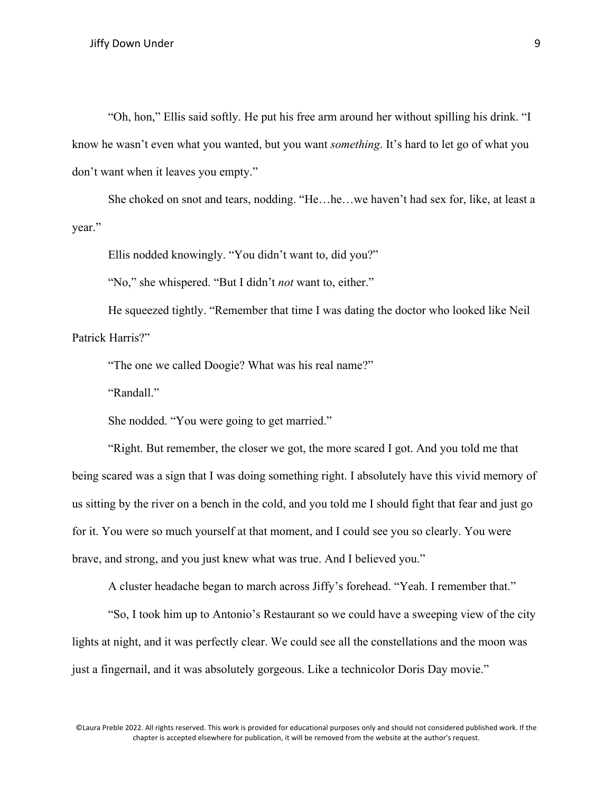"Oh, hon," Ellis said softly. He put his free arm around her without spilling his drink. "I know he wasn't even what you wanted, but you want *something*. It's hard to let go of what you don't want when it leaves you empty."

She choked on snot and tears, nodding. "He…he…we haven't had sex for, like, at least a year."

Ellis nodded knowingly. "You didn't want to, did you?"

"No," she whispered. "But I didn't *not* want to, either."

He squeezed tightly. "Remember that time I was dating the doctor who looked like Neil Patrick Harris?"

"The one we called Doogie? What was his real name?"

"Randall."

She nodded. "You were going to get married."

"Right. But remember, the closer we got, the more scared I got. And you told me that being scared was a sign that I was doing something right. I absolutely have this vivid memory of us sitting by the river on a bench in the cold, and you told me I should fight that fear and just go for it. You were so much yourself at that moment, and I could see you so clearly. You were brave, and strong, and you just knew what was true. And I believed you."

A cluster headache began to march across Jiffy's forehead. "Yeah. I remember that."

"So, I took him up to Antonio's Restaurant so we could have a sweeping view of the city lights at night, and it was perfectly clear. We could see all the constellations and the moon was just a fingernail, and it was absolutely gorgeous. Like a technicolor Doris Day movie."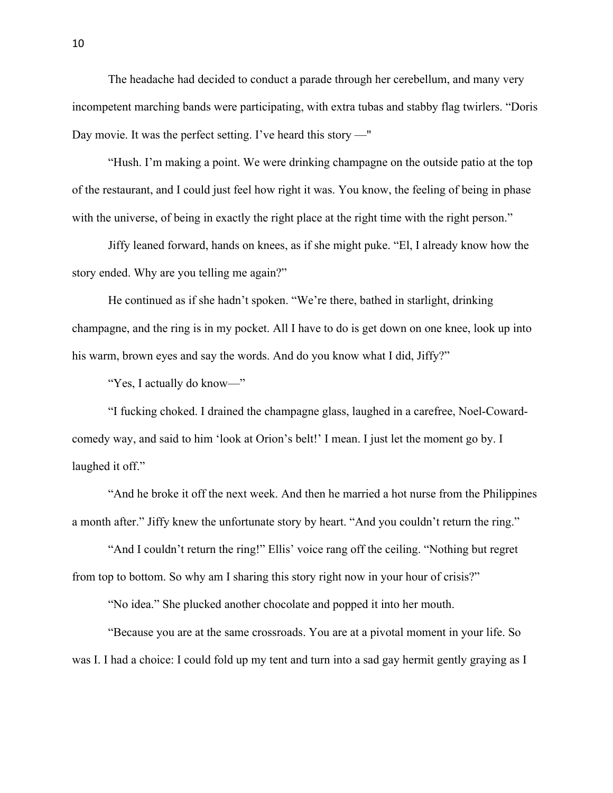The headache had decided to conduct a parade through her cerebellum, and many very incompetent marching bands were participating, with extra tubas and stabby flag twirlers. "Doris Day movie. It was the perfect setting. I've heard this story —"

"Hush. I'm making a point. We were drinking champagne on the outside patio at the top of the restaurant, and I could just feel how right it was. You know, the feeling of being in phase with the universe, of being in exactly the right place at the right time with the right person."

Jiffy leaned forward, hands on knees, as if she might puke. "El, I already know how the story ended. Why are you telling me again?"

He continued as if she hadn't spoken. "We're there, bathed in starlight, drinking champagne, and the ring is in my pocket. All I have to do is get down on one knee, look up into his warm, brown eyes and say the words. And do you know what I did, Jiffy?"

"Yes, I actually do know—"

"I fucking choked. I drained the champagne glass, laughed in a carefree, Noel-Cowardcomedy way, and said to him 'look at Orion's belt!' I mean. I just let the moment go by. I laughed it off."

"And he broke it off the next week. And then he married a hot nurse from the Philippines a month after." Jiffy knew the unfortunate story by heart. "And you couldn't return the ring."

"And I couldn't return the ring!" Ellis' voice rang off the ceiling. "Nothing but regret from top to bottom. So why am I sharing this story right now in your hour of crisis?"

"No idea." She plucked another chocolate and popped it into her mouth.

"Because you are at the same crossroads. You are at a pivotal moment in your life. So was I. I had a choice: I could fold up my tent and turn into a sad gay hermit gently graying as I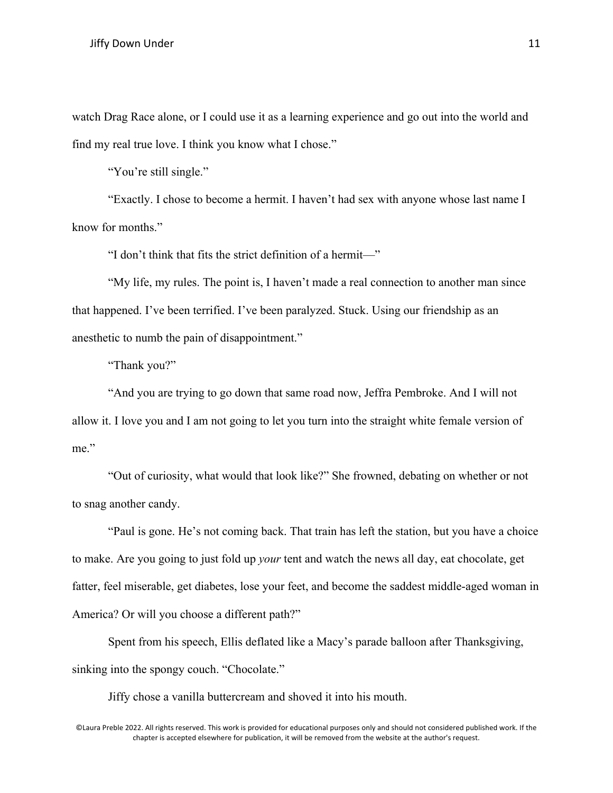watch Drag Race alone, or I could use it as a learning experience and go out into the world and find my real true love. I think you know what I chose."

"You're still single."

"Exactly. I chose to become a hermit. I haven't had sex with anyone whose last name I know for months."

"I don't think that fits the strict definition of a hermit—"

"My life, my rules. The point is, I haven't made a real connection to another man since that happened. I've been terrified. I've been paralyzed. Stuck. Using our friendship as an anesthetic to numb the pain of disappointment."

"Thank you?"

"And you are trying to go down that same road now, Jeffra Pembroke. And I will not allow it. I love you and I am not going to let you turn into the straight white female version of me."

"Out of curiosity, what would that look like?" She frowned, debating on whether or not to snag another candy.

"Paul is gone. He's not coming back. That train has left the station, but you have a choice to make. Are you going to just fold up *your* tent and watch the news all day, eat chocolate, get fatter, feel miserable, get diabetes, lose your feet, and become the saddest middle-aged woman in America? Or will you choose a different path?"

Spent from his speech, Ellis deflated like a Macy's parade balloon after Thanksgiving, sinking into the spongy couch. "Chocolate."

Jiffy chose a vanilla buttercream and shoved it into his mouth.

<sup>©</sup>Laura Preble 2022. All rights reserved. This work is provided for educational purposes only and should not considered published work. If the chapter is accepted elsewhere for publication, it will be removed from the website at the author's request.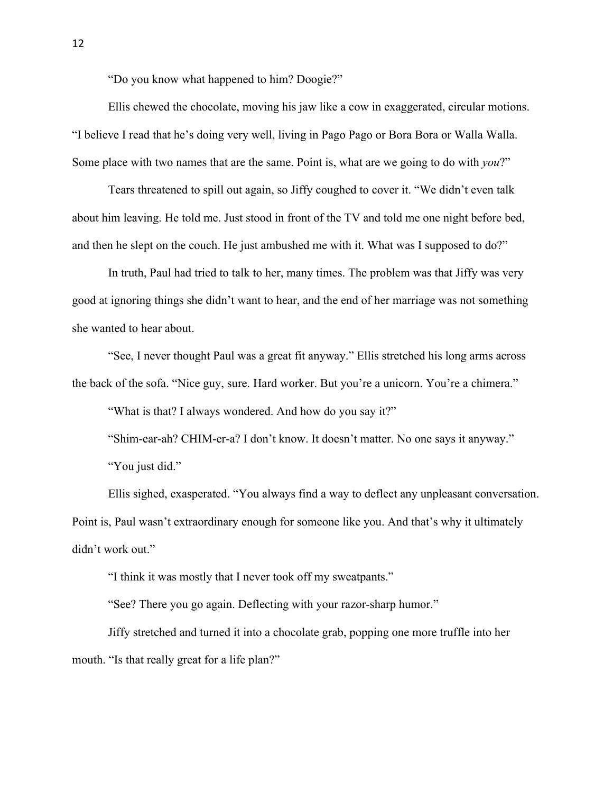"Do you know what happened to him? Doogie?"

Ellis chewed the chocolate, moving his jaw like a cow in exaggerated, circular motions. "I believe I read that he's doing very well, living in Pago Pago or Bora Bora or Walla Walla. Some place with two names that are the same. Point is, what are we going to do with *you*?"

Tears threatened to spill out again, so Jiffy coughed to cover it. "We didn't even talk about him leaving. He told me. Just stood in front of the TV and told me one night before bed, and then he slept on the couch. He just ambushed me with it. What was I supposed to do?"

In truth, Paul had tried to talk to her, many times. The problem was that Jiffy was very good at ignoring things she didn't want to hear, and the end of her marriage was not something she wanted to hear about.

"See, I never thought Paul was a great fit anyway." Ellis stretched his long arms across the back of the sofa. "Nice guy, sure. Hard worker. But you're a unicorn. You're a chimera."

"What is that? I always wondered. And how do you say it?"

"Shim-ear-ah? CHIM-er-a? I don't know. It doesn't matter. No one says it anyway." "You just did."

Ellis sighed, exasperated. "You always find a way to deflect any unpleasant conversation. Point is, Paul wasn't extraordinary enough for someone like you. And that's why it ultimately didn't work out."

"I think it was mostly that I never took off my sweatpants."

"See? There you go again. Deflecting with your razor-sharp humor."

Jiffy stretched and turned it into a chocolate grab, popping one more truffle into her mouth. "Is that really great for a life plan?"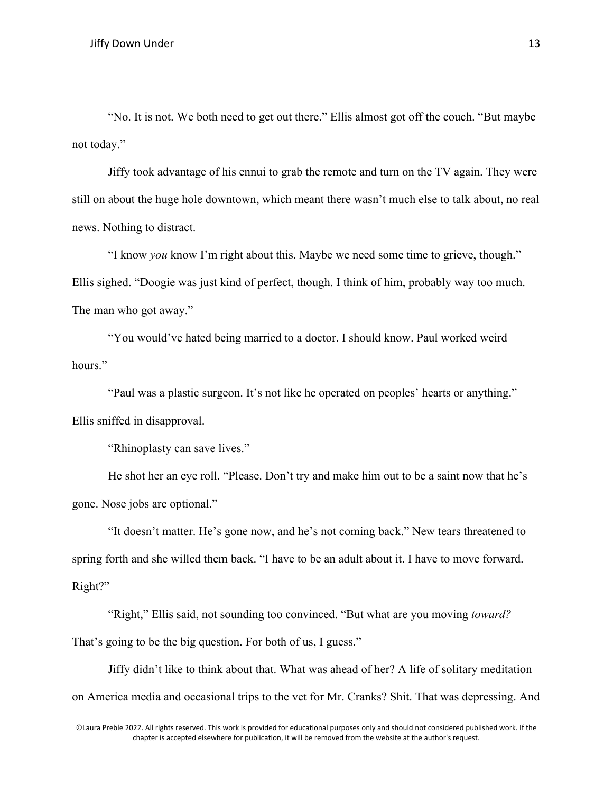"No. It is not. We both need to get out there." Ellis almost got off the couch. "But maybe not today."

Jiffy took advantage of his ennui to grab the remote and turn on the TV again. They were still on about the huge hole downtown, which meant there wasn't much else to talk about, no real news. Nothing to distract.

"I know *you* know I'm right about this. Maybe we need some time to grieve, though." Ellis sighed. "Doogie was just kind of perfect, though. I think of him, probably way too much. The man who got away."

"You would've hated being married to a doctor. I should know. Paul worked weird hours."

"Paul was a plastic surgeon. It's not like he operated on peoples' hearts or anything." Ellis sniffed in disapproval.

"Rhinoplasty can save lives."

He shot her an eye roll. "Please. Don't try and make him out to be a saint now that he's gone. Nose jobs are optional."

"It doesn't matter. He's gone now, and he's not coming back." New tears threatened to spring forth and she willed them back. "I have to be an adult about it. I have to move forward. Right?"

"Right," Ellis said, not sounding too convinced. "But what are you moving *toward?* That's going to be the big question. For both of us, I guess."

Jiffy didn't like to think about that. What was ahead of her? A life of solitary meditation on America media and occasional trips to the vet for Mr. Cranks? Shit. That was depressing. And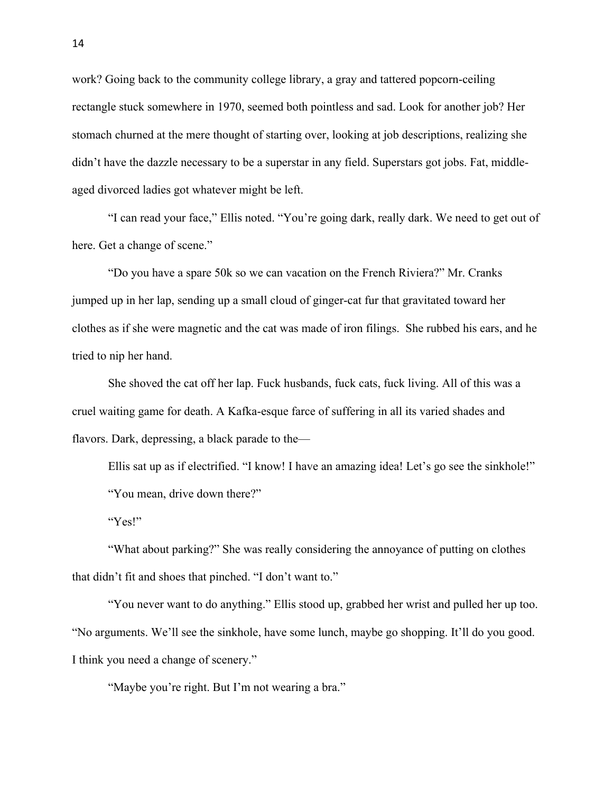work? Going back to the community college library, a gray and tattered popcorn-ceiling rectangle stuck somewhere in 1970, seemed both pointless and sad. Look for another job? Her stomach churned at the mere thought of starting over, looking at job descriptions, realizing she didn't have the dazzle necessary to be a superstar in any field. Superstars got jobs. Fat, middleaged divorced ladies got whatever might be left.

"I can read your face," Ellis noted. "You're going dark, really dark. We need to get out of here. Get a change of scene."

"Do you have a spare 50k so we can vacation on the French Riviera?" Mr. Cranks jumped up in her lap, sending up a small cloud of ginger-cat fur that gravitated toward her clothes as if she were magnetic and the cat was made of iron filings. She rubbed his ears, and he tried to nip her hand.

She shoved the cat off her lap. Fuck husbands, fuck cats, fuck living. All of this was a cruel waiting game for death. A Kafka-esque farce of suffering in all its varied shades and flavors. Dark, depressing, a black parade to the—

Ellis sat up as if electrified. "I know! I have an amazing idea! Let's go see the sinkhole!" "You mean, drive down there?"

"Yes!"

"What about parking?" She was really considering the annoyance of putting on clothes that didn't fit and shoes that pinched. "I don't want to."

"You never want to do anything." Ellis stood up, grabbed her wrist and pulled her up too. "No arguments. We'll see the sinkhole, have some lunch, maybe go shopping. It'll do you good. I think you need a change of scenery."

"Maybe you're right. But I'm not wearing a bra."